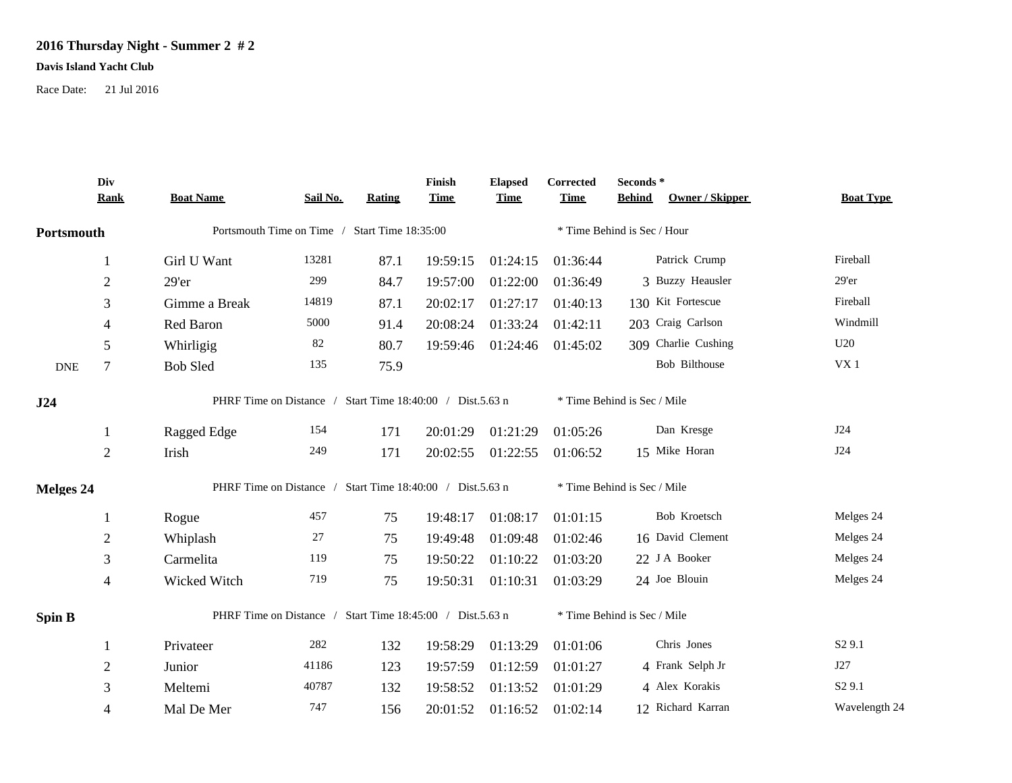## **2016 Thursday Night - Summer 2 # 2**

## **Davis Island Yacht Club**

Race Date: 21 Jul 2016

|                                                                                                 | Div<br><b>Rank</b> | <b>Boat Name</b>                                          | Sail No. | Rating | Finish<br><b>Time</b> | <b>Elapsed</b><br><b>Time</b> | Corrected<br><b>Time</b>    | Seconds *<br>Owner / Skipper<br><b>Behind</b> | <b>Boat Type</b>   |  |  |
|-------------------------------------------------------------------------------------------------|--------------------|-----------------------------------------------------------|----------|--------|-----------------------|-------------------------------|-----------------------------|-----------------------------------------------|--------------------|--|--|
| Portsmouth                                                                                      |                    | Portsmouth Time on Time / Start Time 18:35:00             |          |        |                       |                               | * Time Behind is Sec / Hour |                                               |                    |  |  |
|                                                                                                 | 1                  | Girl U Want                                               | 13281    | 87.1   | 19:59:15              | 01:24:15                      | 01:36:44                    | Patrick Crump                                 | Fireball           |  |  |
|                                                                                                 | $\overline{2}$     | 29'er                                                     | 299      | 84.7   | 19:57:00              | 01:22:00                      | 01:36:49                    | 3 Buzzy Heausler                              | $29'$ er           |  |  |
|                                                                                                 | 3                  | Gimme a Break                                             | 14819    | 87.1   | 20:02:17              | 01:27:17                      | 01:40:13                    | 130 Kit Fortescue                             | Fireball           |  |  |
|                                                                                                 | 4                  | Red Baron                                                 | 5000     | 91.4   | 20:08:24              | 01:33:24                      | 01:42:11                    | 203 Craig Carlson                             | Windmill           |  |  |
|                                                                                                 | 5                  | Whirligig                                                 | 82       | 80.7   | 19:59:46              | 01:24:46                      | 01:45:02                    | 309 Charlie Cushing                           | U20                |  |  |
| <b>DNE</b>                                                                                      | 7                  | <b>Bob Sled</b>                                           | 135      | 75.9   |                       |                               |                             | <b>Bob Bilthouse</b>                          | ${\rm V}{\rm X}$ 1 |  |  |
| PHRF Time on Distance / Start Time 18:40:00 / Dist.5.63 n<br>* Time Behind is Sec / Mile<br>J24 |                    |                                                           |          |        |                       |                               |                             |                                               |                    |  |  |
|                                                                                                 | 1                  | Ragged Edge                                               | 154      | 171    | 20:01:29              | 01:21:29                      | 01:05:26                    | Dan Kresge                                    | J24                |  |  |
|                                                                                                 | $\overline{2}$     | Irish                                                     | 249      | 171    | 20:02:55              | 01:22:55                      | 01:06:52                    | 15 Mike Horan                                 | J24                |  |  |
| <b>Melges 24</b>                                                                                |                    | PHRF Time on Distance / Start Time 18:40:00 / Dist.5.63 n |          |        |                       |                               | * Time Behind is Sec / Mile |                                               |                    |  |  |
|                                                                                                 |                    | Rogue                                                     | 457      | 75     | 19:48:17              | 01:08:17                      | 01:01:15                    | Bob Kroetsch                                  | Melges 24          |  |  |
|                                                                                                 | $\mathbf{2}$       | Whiplash                                                  | 27       | 75     | 19:49:48              | 01:09:48                      | 01:02:46                    | 16 David Clement                              | Melges 24          |  |  |
|                                                                                                 | 3                  | Carmelita                                                 | 119      | 75     | 19:50:22              | 01:10:22                      | 01:03:20                    | 22 J A Booker                                 | Melges 24          |  |  |
|                                                                                                 | 4                  | Wicked Witch                                              | 719      | 75     | 19:50:31              | 01:10:31                      | 01:03:29                    | 24 Joe Blouin                                 | Melges 24          |  |  |
| <b>Spin B</b>                                                                                   |                    | PHRF Time on Distance / Start Time 18:45:00 / Dist.5.63 n |          |        |                       |                               |                             | * Time Behind is Sec / Mile                   |                    |  |  |
|                                                                                                 |                    | Privateer                                                 | 282      | 132    | 19:58:29              | 01:13:29                      | 01:01:06                    | Chris Jones                                   | S <sub>2</sub> 9.1 |  |  |
|                                                                                                 | $\mathfrak{2}$     | Junior                                                    | 41186    | 123    | 19:57:59              | 01:12:59                      | 01:01:27                    | 4 Frank Selph Jr                              | J27                |  |  |
|                                                                                                 | 3                  | Meltemi                                                   | 40787    | 132    | 19:58:52              | 01:13:52                      | 01:01:29                    | 4 Alex Korakis                                | S <sub>2</sub> 9.1 |  |  |
|                                                                                                 | 4                  | Mal De Mer                                                | 747      | 156    | 20:01:52              | 01:16:52                      | 01:02:14                    | 12 Richard Karran                             | Wavelength 24      |  |  |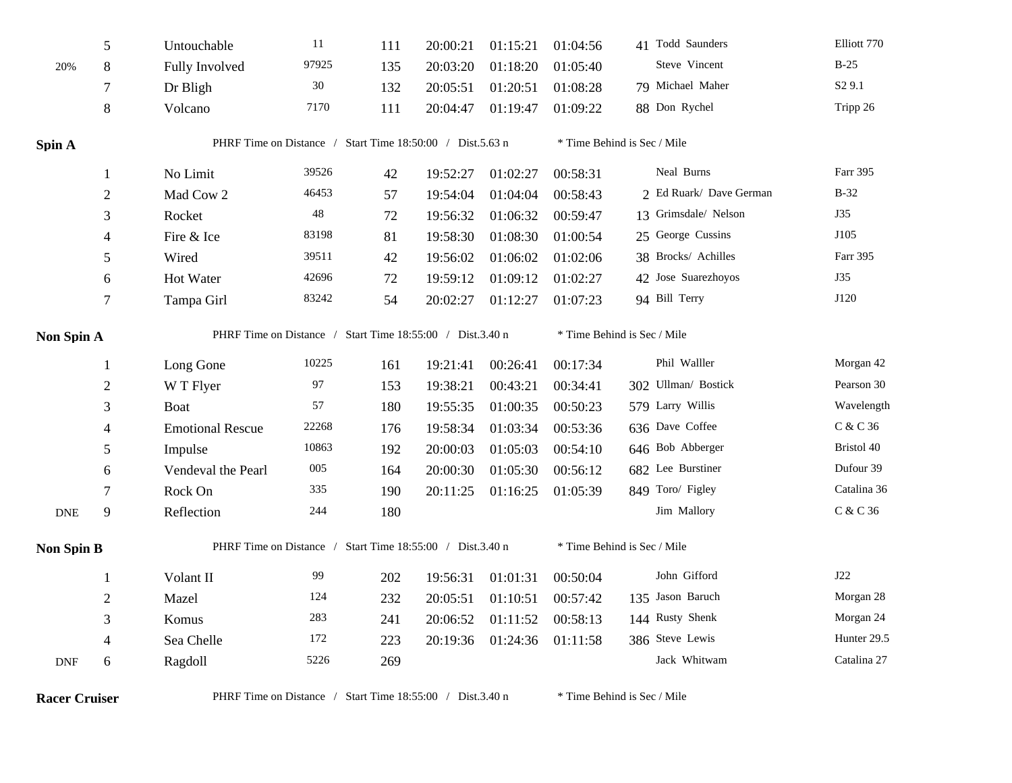|                             | 5                | Untouchable                                               | $11\,$ | 111 | 20:00:21 | 01:15:21 | 01:04:56                    | 41 Todd Saunders            | Elliott 770                    |  |  |
|-----------------------------|------------------|-----------------------------------------------------------|--------|-----|----------|----------|-----------------------------|-----------------------------|--------------------------------|--|--|
| 20%                         | 8                | Fully Involved                                            | 97925  | 135 | 20:03:20 | 01:18:20 | 01:05:40                    | Steve Vincent               | $B-25$                         |  |  |
|                             | 7                | Dr Bligh                                                  | 30     | 132 | 20:05:51 | 01:20:51 | 01:08:28                    | 79 Michael Maher            | S <sub>2</sub> 9.1             |  |  |
|                             | $8\,$            | Volcano                                                   | 7170   | 111 | 20:04:47 | 01:19:47 | 01:09:22                    | 88 Don Rychel               | Tripp 26                       |  |  |
| Spin A                      |                  | PHRF Time on Distance / Start Time 18:50:00 / Dist.5.63 n |        |     |          |          |                             | * Time Behind is Sec / Mile |                                |  |  |
|                             | 1                | No Limit                                                  | 39526  | 42  | 19:52:27 | 01:02:27 | 00:58:31                    | Neal Burns                  | Farr 395                       |  |  |
|                             | $\overline{2}$   | Mad Cow 2                                                 | 46453  | 57  | 19:54:04 | 01:04:04 | 00:58:43                    | 2 Ed Ruark/ Dave German     | $B-32$                         |  |  |
|                             | 3                | Rocket                                                    | 48     | 72  | 19:56:32 | 01:06:32 | 00:59:47                    | 13 Grimsdale/ Nelson        | J35                            |  |  |
|                             | 4                | Fire & Ice                                                | 83198  | 81  | 19:58:30 | 01:08:30 | 01:00:54                    | 25 George Cussins           | J105                           |  |  |
|                             | 5                | Wired                                                     | 39511  | 42  | 19:56:02 | 01:06:02 | 01:02:06                    | 38 Brocks/ Achilles         | Farr 395                       |  |  |
|                             | 6                | Hot Water                                                 | 42696  | 72  | 19:59:12 | 01:09:12 | 01:02:27                    | 42 Jose Suarezhoyos         | J35                            |  |  |
|                             | $\boldsymbol{7}$ | Tampa Girl                                                | 83242  | 54  | 20:02:27 | 01:12:27 | 01:07:23                    | 94 Bill Terry               | J120                           |  |  |
| Non Spin A                  |                  | PHRF Time on Distance / Start Time 18:55:00 / Dist.3.40 n |        |     |          |          | * Time Behind is Sec / Mile |                             |                                |  |  |
|                             | 1                | Long Gone                                                 | 10225  | 161 | 19:21:41 | 00:26:41 | 00:17:34                    | Phil Walller                | Morgan 42                      |  |  |
|                             | $\overline{2}$   | W T Flyer                                                 | 97     | 153 | 19:38:21 | 00:43:21 | 00:34:41                    | 302 Ullman/ Bostick         | Pearson 30                     |  |  |
|                             | 3                | <b>Boat</b>                                               | 57     | 180 | 19:55:35 | 01:00:35 | 00:50:23                    | 579 Larry Willis            | Wavelength                     |  |  |
|                             | 4                | <b>Emotional Rescue</b>                                   | 22268  | 176 | 19:58:34 | 01:03:34 | 00:53:36                    | 636 Dave Coffee             | $\mathrm{C}$ & $\mathrm{C}$ 36 |  |  |
|                             | 5                | Impulse                                                   | 10863  | 192 | 20:00:03 | 01:05:03 | 00:54:10                    | 646 Bob Abberger            | Bristol 40                     |  |  |
|                             | 6                | Vendeval the Pearl                                        | 005    | 164 | 20:00:30 | 01:05:30 | 00:56:12                    | 682 Lee Burstiner           | Dufour 39                      |  |  |
|                             | $\tau$           | Rock On                                                   | 335    | 190 | 20:11:25 | 01:16:25 | 01:05:39                    | 849 Toro/ Figley            | Catalina 36                    |  |  |
| $\ensuremath{\mathsf{DNE}}$ | 9                | Reflection                                                | 244    | 180 |          |          |                             | Jim Mallory                 | C & C 36                       |  |  |
| <b>Non Spin B</b>           |                  | PHRF Time on Distance / Start Time 18:55:00 / Dist.3.40 n |        |     |          |          | * Time Behind is Sec / Mile |                             |                                |  |  |
|                             | 1                | Volant II                                                 | 99     | 202 | 19:56:31 | 01:01:31 | 00:50:04                    | John Gifford                | J22                            |  |  |
|                             | $\mathfrak{2}$   | Mazel                                                     | 124    | 232 | 20:05:51 | 01:10:51 | 00:57:42                    | 135 Jason Baruch            | Morgan 28                      |  |  |
|                             | 3                | Komus                                                     | 283    | 241 | 20:06:52 | 01:11:52 | 00:58:13                    | 144 Rusty Shenk             | Morgan 24                      |  |  |
|                             | 4                | Sea Chelle                                                | 172    | 223 | 20:19:36 | 01:24:36 | 01:11:58                    | 386 Steve Lewis             | Hunter 29.5                    |  |  |
| <b>DNF</b>                  | 6                | Ragdoll                                                   | 5226   | 269 |          |          |                             | Jack Whitwam                | Catalina 27                    |  |  |

**Racer Cruiser** PHRF Time on Distance / Start Time 18:55:00 / Dist.3.40 n \* Time Behind is Sec / Mile